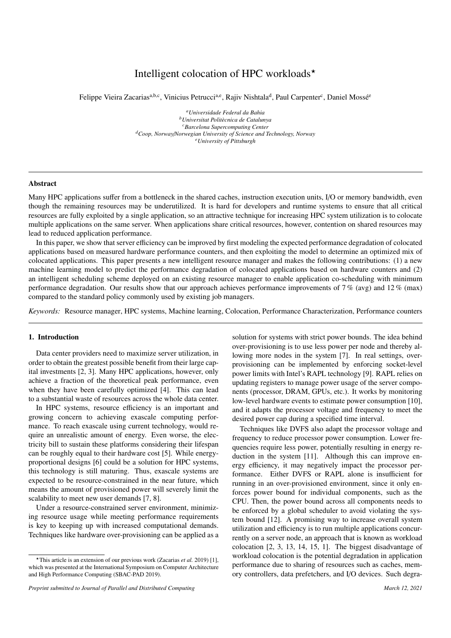# Intelligent colocation of HPC workloads<sup> $\star$ </sup>

Felippe Vieira Zacarias<sup>a,b,c</sup>, Vinicius Petrucci<sup>a,e</sup>, Rajiv Nishtala<sup>d</sup>, Paul Carpenter<sup>c</sup>, Daniel Mossé<sup>e</sup>

*<sup>a</sup>Universidade Federal da Bahia <sup>b</sup>Universitat Polit`ecnica de Catalunya <sup>c</sup>Barcelona Supercomputing Center <sup>d</sup>Coop, Norway*/*Norwegian University of Science and Technology, Norway <sup>e</sup>University of Pittsburgh*

## Abstract

Many HPC applications suffer from a bottleneck in the shared caches, instruction execution units, I/O or memory bandwidth, even though the remaining resources may be underutilized. It is hard for developers and runtime systems to ensure that all critical resources are fully exploited by a single application, so an attractive technique for increasing HPC system utilization is to colocate multiple applications on the same server. When applications share critical resources, however, contention on shared resources may lead to reduced application performance.

In this paper, we show that server efficiency can be improved by first modeling the expected performance degradation of colocated applications based on measured hardware performance counters, and then exploiting the model to determine an optimized mix of colocated applications. This paper presents a new intelligent resource manager and makes the following contributions: (1) a new machine learning model to predict the performance degradation of colocated applications based on hardware counters and (2) an intelligent scheduling scheme deployed on an existing resource manager to enable application co-scheduling with minimum performance degradation. Our results show that our approach achieves performance improvements of 7% (avg) and 12% (max) compared to the standard policy commonly used by existing job managers.

*Keywords:* Resource manager, HPC systems, Machine learning, Colocation, Performance Characterization, Performance counters

# 1. Introduction

Data center providers need to maximize server utilization, in order to obtain the greatest possible benefit from their large capital investments [2, 3]. Many HPC applications, however, only achieve a fraction of the theoretical peak performance, even when they have been carefully optimized [4]. This can lead to a substantial waste of resources across the whole data center.

In HPC systems, resource efficiency is an important and growing concern to achieving exascale computing performance. To reach exascale using current technology, would require an unrealistic amount of energy. Even worse, the electricity bill to sustain these platforms considering their lifespan can be roughly equal to their hardware cost [5]. While energyproportional designs [6] could be a solution for HPC systems, this technology is still maturing. Thus, exascale systems are expected to be resource-constrained in the near future, which means the amount of provisioned power will severely limit the scalability to meet new user demands [7, 8].

Under a resource-constrained server environment, minimizing resource usage while meeting performance requirements is key to keeping up with increased computational demands. Techniques like hardware over-provisioning can be applied as a solution for systems with strict power bounds. The idea behind over-provisioning is to use less power per node and thereby allowing more nodes in the system [7]. In real settings, overprovisioning can be implemented by enforcing socket-level power limits with Intel's RAPL technology [9]. RAPL relies on updating registers to manage power usage of the server components (processor, DRAM, GPUs, etc.). It works by monitoring low-level hardware events to estimate power consumption [10], and it adapts the processor voltage and frequency to meet the desired power cap during a specified time interval.

Techniques like DVFS also adapt the processor voltage and frequency to reduce processor power consumption. Lower frequencies require less power, potentially resulting in energy reduction in the system [11]. Although this can improve energy efficiency, it may negatively impact the processor performance. Either DVFS or RAPL alone is insufficient for running in an over-provisioned environment, since it only enforces power bound for individual components, such as the CPU. Then, the power bound across all components needs to be enforced by a global scheduler to avoid violating the system bound [12]. A promising way to increase overall system utilization and efficiency is to run multiple applications concurrently on a server node, an approach that is known as workload colocation [2, 3, 13, 14, 15, 1]. The biggest disadvantage of workload colocation is the potential degradation in application performance due to sharing of resources such as caches, memory controllers, data prefetchers, and I/O devices. Such degra-

<sup>?</sup>This article is an extension of our previous work (Zacarias *et al.* 2019) [1], which was presented at the International Symposium on Computer Architecture and High Performance Computing (SBAC-PAD 2019).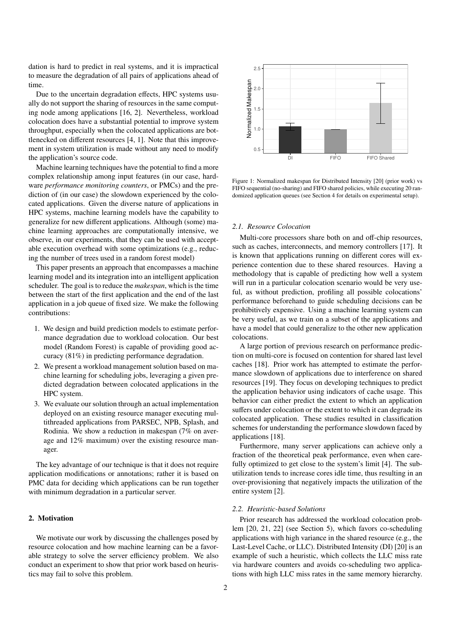dation is hard to predict in real systems, and it is impractical to measure the degradation of all pairs of applications ahead of time.

Due to the uncertain degradation effects, HPC systems usually do not support the sharing of resources in the same computing node among applications [16, 2]. Nevertheless, workload colocation does have a substantial potential to improve system throughput, especially when the colocated applications are bottlenecked on different resources [4, 1]. Note that this improvement in system utilization is made without any need to modify the application's source code.

Machine learning techniques have the potential to find a more complex relationship among input features (in our case, hardware *performance monitoring counters*, or PMCs) and the prediction of (in our case) the slowdown experienced by the colocated applications. Given the diverse nature of applications in HPC systems, machine learning models have the capability to generalize for new different applications. Although (some) machine learning approaches are computationally intensive, we observe, in our experiments, that they can be used with acceptable execution overhead with some optimizations (e.g., reducing the number of trees used in a random forest model)

This paper presents an approach that encompasses a machine learning model and its integration into an intelligent application scheduler. The goal is to reduce the *makespan*, which is the time between the start of the first application and the end of the last application in a job queue of fixed size. We make the following contributions:

- 1. We design and build prediction models to estimate performance degradation due to workload colocation. Our best model (Random Forest) is capable of providing good accuracy (81%) in predicting performance degradation.
- 2. We present a workload management solution based on machine learning for scheduling jobs, leveraging a given predicted degradation between colocated applications in the HPC system.
- 3. We evaluate our solution through an actual implementation deployed on an existing resource manager executing multithreaded applications from PARSEC, NPB, Splash, and Rodinia. We show a reduction in makespan (7% on average and 12% maximum) over the existing resource manager.

The key advantage of our technique is that it does not require application modifications or annotations; rather it is based on PMC data for deciding which applications can be run together with minimum degradation in a particular server.

# 2. Motivation

We motivate our work by discussing the challenges posed by resource colocation and how machine learning can be a favorable strategy to solve the server efficiency problem. We also conduct an experiment to show that prior work based on heuristics may fail to solve this problem.



Figure 1: Normalized makespan for Distributed Intensity [20] (prior work) vs FIFO sequential (no-sharing) and FIFO shared policies, while executing 20 randomized application queues (see Section 4 for details on experimental setup).

## *2.1. Resource Colocation*

Multi-core processors share both on and off-chip resources, such as caches, interconnects, and memory controllers [17]. It is known that applications running on different cores will experience contention due to these shared resources. Having a methodology that is capable of predicting how well a system will run in a particular colocation scenario would be very useful, as without prediction, profiling all possible colocations' performance beforehand to guide scheduling decisions can be prohibitively expensive. Using a machine learning system can be very useful, as we train on a subset of the applications and have a model that could generalize to the other new application colocations.

A large portion of previous research on performance prediction on multi-core is focused on contention for shared last level caches [18]. Prior work has attempted to estimate the performance slowdown of applications due to interference on shared resources [19]. They focus on developing techniques to predict the application behavior using indicators of cache usage. This behavior can either predict the extent to which an application suffers under colocation or the extent to which it can degrade its colocated application. These studies resulted in classification schemes for understanding the performance slowdown faced by applications [18].

Furthermore, many server applications can achieve only a fraction of the theoretical peak performance, even when carefully optimized to get close to the system's limit [4]. The subutilization tends to increase cores idle time, thus resulting in an over-provisioning that negatively impacts the utilization of the entire system [2].

# *2.2. Heuristic-based Solutions*

Prior research has addressed the workload colocation problem [20, 21, 22] (see Section 5), which favors co-scheduling applications with high variance in the shared resource (e.g., the Last-Level Cache, or LLC). Distributed Intensity (DI) [20] is an example of such a heuristic, which collects the LLC miss rate via hardware counters and avoids co-scheduling two applications with high LLC miss rates in the same memory hierarchy.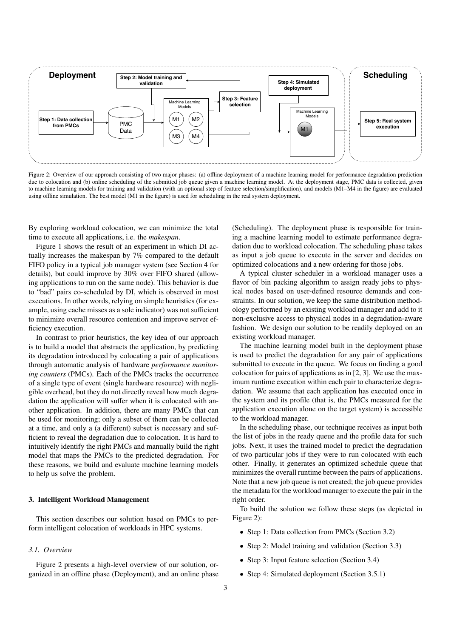

Figure 2: Overview of our approach consisting of two major phases: (a) offline deployment of a machine learning model for performance degradation prediction due to colocation and (b) online scheduling of the submitted job queue given a machine learning model. At the deployment stage, PMC data is collected, given to machine learning models for training and validation (with an optional step of feature selection/simplification), and models (M1–M4 in the figure) are evaluated using offline simulation. The best model (M1 in the figure) is used for scheduling in the real system deployment.

By exploring workload colocation, we can minimize the total time to execute all applications, i.e. the *makespan*.

Figure 1 shows the result of an experiment in which DI actually increases the makespan by 7% compared to the default FIFO policy in a typical job manager system (see Section 4 for details), but could improve by 30% over FIFO shared (allowing applications to run on the same node). This behavior is due to "bad" pairs co-scheduled by DI, which is observed in most executions. In other words, relying on simple heuristics (for example, using cache misses as a sole indicator) was not sufficient to minimize overall resource contention and improve server efficiency execution.

In contrast to prior heuristics, the key idea of our approach is to build a model that abstracts the application, by predicting its degradation introduced by colocating a pair of applications through automatic analysis of hardware *performance monitoring counters* (PMCs). Each of the PMCs tracks the occurrence of a single type of event (single hardware resource) with negligible overhead, but they do not directly reveal how much degradation the application will suffer when it is colocated with another application. In addition, there are many PMCs that can be used for monitoring; only a subset of them can be collected at a time, and only a (a different) subset is necessary and sufficient to reveal the degradation due to colocation. It is hard to intuitively identify the right PMCs and manually build the right model that maps the PMCs to the predicted degradation. For these reasons, we build and evaluate machine learning models to help us solve the problem.

## 3. Intelligent Workload Management

This section describes our solution based on PMCs to perform intelligent colocation of workloads in HPC systems.

# *3.1. Overview*

Figure 2 presents a high-level overview of our solution, organized in an offline phase (Deployment), and an online phase

(Scheduling). The deployment phase is responsible for training a machine learning model to estimate performance degradation due to workload colocation. The scheduling phase takes as input a job queue to execute in the server and decides on optimized colocations and a new ordering for those jobs.

A typical cluster scheduler in a workload manager uses a flavor of bin packing algorithm to assign ready jobs to physical nodes based on user-defined resource demands and constraints. In our solution, we keep the same distribution methodology performed by an existing workload manager and add to it non-exclusive access to physical nodes in a degradation-aware fashion. We design our solution to be readily deployed on an existing workload manager.

The machine learning model built in the deployment phase is used to predict the degradation for any pair of applications submitted to execute in the queue. We focus on finding a good colocation for pairs of applications as in [2, 3]. We use the maximum runtime execution within each pair to characterize degradation. We assume that each application has executed once in the system and its profile (that is, the PMCs measured for the application execution alone on the target system) is accessible to the workload manager.

In the scheduling phase, our technique receives as input both the list of jobs in the ready queue and the profile data for such jobs. Next, it uses the trained model to predict the degradation of two particular jobs if they were to run colocated with each other. Finally, it generates an optimized schedule queue that minimizes the overall runtime between the pairs of applications. Note that a new job queue is not created; the job queue provides the metadata for the workload manager to execute the pair in the right order.

To build the solution we follow these steps (as depicted in Figure 2):

- Step 1: Data collection from PMCs (Section 3.2)
- Step 2: Model training and validation (Section 3.3)
- Step 3: Input feature selection (Section 3.4)
- Step 4: Simulated deployment (Section 3.5.1)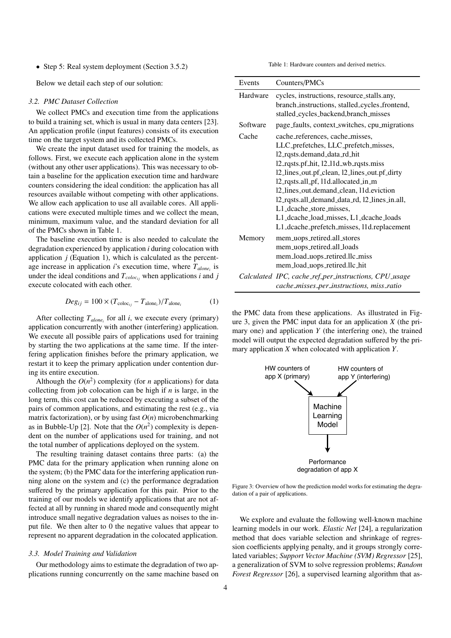• Step 5: Real system deployment (Section 3.5.2)

Below we detail each step of our solution:

#### *3.2. PMC Dataset Collection*

We collect PMCs and execution time from the applications to build a training set, which is usual in many data centers [23]. An application profile (input features) consists of its execution time on the target system and its collected PMCs.

We create the input dataset used for training the models, as follows. First, we execute each application alone in the system (without any other user applications). This was necessary to obtain a baseline for the application execution time and hardware counters considering the ideal condition: the application has all resources available without competing with other applications. We allow each application to use all available cores. All applications were executed multiple times and we collect the mean, minimum, maximum value, and the standard deviation for all of the PMCs shown in Table 1.

The baseline execution time is also needed to calculate the degradation experienced by application *i* during colocation with application *j* (Equation 1), which is calculated as the percentage increase in application *i*'s execution time, where *Talone<sup>i</sup>* is under the ideal conditions and  $T_{colori}$  when applications *i* and *j* execute colocated with each other.

$$
Deg_{ij} = 100 \times (T_{\text{color}_{ij}} - T_{\text{alone}_i})/T_{\text{alone}_i}
$$
 (1)

After collecting  $T_{alone_i}$  for all *i*, we execute every (primary) application concurrently with another (interfering) application. We execute all possible pairs of applications used for training by starting the two applications at the same time. If the interfering application finishes before the primary application, we restart it to keep the primary application under contention during its entire execution.

Although the  $O(n^2)$  complexity (for *n* applications) for data collecting from job colocation can be high if *n* is large, in the long term, this cost can be reduced by executing a subset of the pairs of common applications, and estimating the rest (e.g., via matrix factorization), or by using fast *O*(*n*) microbenchmarking as in Bubble-Up [2]. Note that the  $O(n^2)$  complexity is dependent on the number of applications used for training, and not the total number of applications deployed on the system.

The resulting training dataset contains three parts: (a) the PMC data for the primary application when running alone on the system; (b) the PMC data for the interfering application running alone on the system and (c) the performance degradation suffered by the primary application for this pair. Prior to the training of our models we identify applications that are not affected at all by running in shared mode and consequently might introduce small negative degradation values as noises to the input file. We then alter to 0 the negative values that appear to represent no apparent degradation in the colocated application.

## *3.3. Model Training and Validation*

Our methodology aims to estimate the degradation of two applications running concurrently on the same machine based on Table 1: Hardware counters and derived metrics.

| Events   | Counters/PMCs                                                                                                                                                                                                                                                                                                                                                                                                                                         |  |  |  |
|----------|-------------------------------------------------------------------------------------------------------------------------------------------------------------------------------------------------------------------------------------------------------------------------------------------------------------------------------------------------------------------------------------------------------------------------------------------------------|--|--|--|
| Hardware | cycles, instructions, resource_stalls.any,<br>branch_instructions, stalled_cycles_frontend,<br>stalled_cycles_backend,branch_misses                                                                                                                                                                                                                                                                                                                   |  |  |  |
| Software | page_faults, context_switches, cpu_migrations                                                                                                                                                                                                                                                                                                                                                                                                         |  |  |  |
| Cache    | cache_references, cache_misses,<br>LLC_prefetches, LLC_prefetch_misses,<br>12_rqsts.demand_data_rd_hit<br>12_rqsts.pf_hit, 12_11d_wb_rqsts.miss<br>12_lines_out.pf_clean, 12_lines_out.pf_dirty<br>12_rqsts.all_pf, 11d.allocated_in_m<br>12_lines_out.demand_clean, 11d.eviction<br>12_rqsts.all_demand_data_rd, 12_lines_in.all,<br>L1_dcache_store_misses.<br>L1_dcache_load_misses, L1_dcache_loads<br>L1_dcache_prefetch_misses, 11d.replacement |  |  |  |
| Memory   | mem_uops_retired.all_stores<br>mem_uops_retired.all_loads<br>mem_load_uops_retired.llc_miss<br>mem_load_uops_retired.llc_hit                                                                                                                                                                                                                                                                                                                          |  |  |  |
|          | Calculated IPC, cache_ref_per_instructions, CPU_usage<br>cache_misses_per_instructions, miss_ratio                                                                                                                                                                                                                                                                                                                                                    |  |  |  |

the PMC data from these applications. As illustrated in Figure 3, given the PMC input data for an application *X* (the primary one) and application *Y* (the interfering one), the trained model will output the expected degradation suffered by the primary application *X* when colocated with application *Y*.



Figure 3: Overview of how the prediction model works for estimating the degradation of a pair of applications.

We explore and evaluate the following well-known machine learning models in our work. *Elastic Net* [24], a regularization method that does variable selection and shrinkage of regression coefficients applying penalty, and it groups strongly correlated variables; *Support Vector Machine (SVM) Regressor* [25], a generalization of SVM to solve regression problems; *Random Forest Regressor* [26], a supervised learning algorithm that as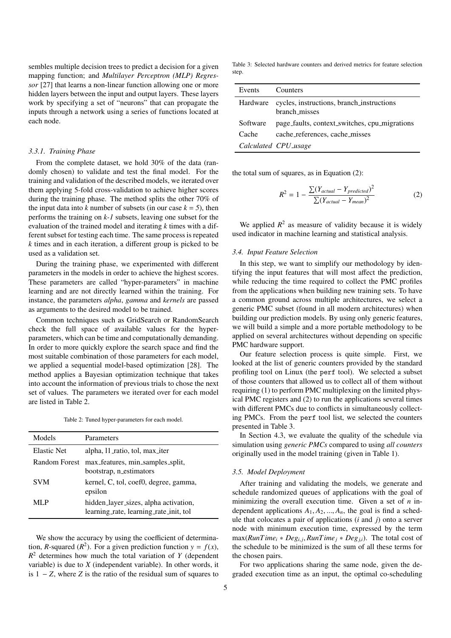sembles multiple decision trees to predict a decision for a given mapping function; and *Multilayer Perceptron (MLP) Regressor* [27] that learns a non-linear function allowing one or more hidden layers between the input and output layers. These layers work by specifying a set of "neurons" that can propagate the inputs through a network using a series of functions located at each node.

#### *3.3.1. Training Phase*

From the complete dataset, we hold 30% of the data (randomly chosen) to validate and test the final model. For the training and validation of the described models, we iterated over them applying 5-fold cross-validation to achieve higher scores during the training phase. The method splits the other 70% of the input data into *k* number of subsets (in our case  $k = 5$ ), then performs the training on *k-1* subsets, leaving one subset for the evaluation of the trained model and iterating *k* times with a different subset for testing each time. The same process is repeated *k* times and in each iteration, a different group is picked to be used as a validation set.

During the training phase, we experimented with different parameters in the models in order to achieve the highest scores. These parameters are called "hyper-parameters" in machine learning and are not directly learned within the training. For instance, the parameters *alpha*, *gamma* and *kernels* are passed as arguments to the desired model to be trained.

Common techniques such as GridSearch or RandomSearch check the full space of available values for the hyperparameters, which can be time and computationally demanding. In order to more quickly explore the search space and find the most suitable combination of those parameters for each model, we applied a sequential model-based optimization [28]. The method applies a Bayesian optimization technique that takes into account the information of previous trials to chose the next set of values. The parameters we iterated over for each model are listed in Table 2.

Table 2: Tuned hyper-parameters for each model.

| Models               | Parameters                                                                      |  |
|----------------------|---------------------------------------------------------------------------------|--|
| <b>Elastic Net</b>   | alpha, 11 ratio, tol, max iter                                                  |  |
| <b>Random Forest</b> | max_features, min_samples_split,<br>bootstrap, n_estimators                     |  |
| <b>SVM</b>           | kernel, C, tol, coef0, degree, gamma,<br>epsilon                                |  |
| ML P                 | hidden_layer_sizes, alpha activation,<br>learning_rate, learning_rate_init, tol |  |

We show the accuracy by using the coefficient of determination, *R*-squared ( $R^2$ ). For a given prediction function  $y = f(x)$ ,  $R<sup>2</sup>$  determines how much the total variation of *Y* (dependent variable) is due to *X* (independent variable). In other words, it is 1 − *Z*, where *Z* is the ratio of the residual sum of squares to

Table 3: Selected hardware counters and derived metrics for feature selection step.

| Events   | Counters                                                   |
|----------|------------------------------------------------------------|
| Hardware | cycles, instructions, branch_instructions<br>branch misses |
| Software | page_faults, context_switches, cpu_migrations              |
| Cache    | cache_references, cache_misses                             |
|          | Calculated CPU_usage                                       |

the total sum of squares, as in Equation (2):

$$
R^{2} = 1 - \frac{\sum (Y_{actual} - Y_{predicted})^{2}}{\sum (Y_{actual} - Y_{mean})^{2}}
$$
 (2)

We applied  $R^2$  as measure of validity because it is widely used indicator in machine learning and statistical analysis.

# *3.4. Input Feature Selection*

In this step, we want to simplify our methodology by identifying the input features that will most affect the prediction, while reducing the time required to collect the PMC profiles from the applications when building new training sets. To have a common ground across multiple architectures, we select a generic PMC subset (found in all modern architectures) when building our prediction models. By using only generic features, we will build a simple and a more portable methodology to be applied on several architectures without depending on specific PMC hardware support.

Our feature selection process is quite simple. First, we looked at the list of generic counters provided by the standard profiling tool on Linux (the perf tool). We selected a subset of those counters that allowed us to collect all of them without requiring (1) to perform PMC multiplexing on the limited physical PMC registers and (2) to run the applications several times with different PMCs due to conflicts in simultaneously collecting PMCs. From the perf tool list, we selected the counters presented in Table 3.

In Section 4.3, we evaluate the quality of the schedule via simulation using *generic PMCs* compared to using *all counters* originally used in the model training (given in Table 1).

## *3.5. Model Deployment*

After training and validating the models, we generate and schedule randomized queues of applications with the goal of minimizing the overall execution time. Given a set of *n* independent applications  $A_1, A_2, ..., A_n$ , the goal is find a schedule that colocates a pair of applications (*i* and *j*) onto a server node with minimum execution time, expressed by the term  $\max(RunTime_i * Deg_{i,j}, RunTime_j * Deg_{j,i})$ . The total cost of the schedule to be minimized is the sum of all these terms for the schedule to be minimized is the sum of all these terms for the chosen pairs.

For two applications sharing the same node, given the degraded execution time as an input, the optimal co-scheduling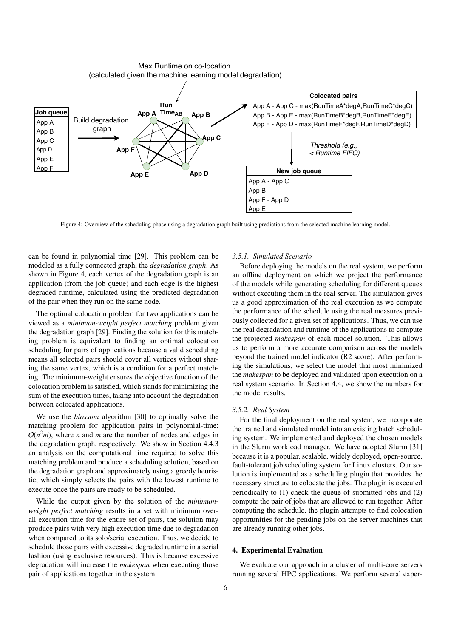

Max Runtime on co-location (calculated given the machine learning model degradation)

Figure 4: Overview of the scheduling phase using a degradation graph built using predictions from the selected machine learning model.

can be found in polynomial time [29]. This problem can be modeled as a fully connected graph, the *degradation graph*. As shown in Figure 4, each vertex of the degradation graph is an application (from the job queue) and each edge is the highest degraded runtime, calculated using the predicted degradation of the pair when they run on the same node.

The optimal colocation problem for two applications can be viewed as a *minimum-weight perfect matching* problem given the degradation graph [29]. Finding the solution for this matching problem is equivalent to finding an optimal colocation scheduling for pairs of applications because a valid scheduling means all selected pairs should cover all vertices without sharing the same vertex, which is a condition for a perfect matching. The minimum-weight ensures the objective function of the colocation problem is satisfied, which stands for minimizing the sum of the execution times, taking into account the degradation between colocated applications.

We use the *blossom* algorithm [30] to optimally solve the matching problem for application pairs in polynomial-time:  $O(n^2m)$ , where *n* and *m* are the number of nodes and edges in the degradation graph, respectively. We show in Section 4.4.3 an analysis on the computational time required to solve this matching problem and produce a scheduling solution, based on the degradation graph and approximately using a greedy heuristic, which simply selects the pairs with the lowest runtime to execute once the pairs are ready to be scheduled.

While the output given by the solution of the *minimumweight perfect matching* results in a set with minimum overall execution time for the entire set of pairs, the solution may produce pairs with very high execution time due to degradation when compared to its solo/serial execution. Thus, we decide to schedule those pairs with excessive degraded runtime in a serial fashion (using exclusive resources). This is because excessive degradation will increase the *makespan* when executing those pair of applications together in the system.

## *3.5.1. Simulated Scenario*

Before deploying the models on the real system, we perform an offline deployment on which we project the performance of the models while generating scheduling for different queues without executing them in the real server. The simulation gives us a good approximation of the real execution as we compute the performance of the schedule using the real measures previously collected for a given set of applications. Thus, we can use the real degradation and runtime of the applications to compute the projected *makespan* of each model solution. This allows us to perform a more accurate comparison across the models beyond the trained model indicator (R2 score). After performing the simulations, we select the model that most minimized the *makespan* to be deployed and validated upon execution on a real system scenario. In Section 4.4, we show the numbers for the model results.

## *3.5.2. Real System*

For the final deployment on the real system, we incorporate the trained and simulated model into an existing batch scheduling system. We implemented and deployed the chosen models in the Slurm workload manager. We have adopted Slurm [31] because it is a popular, scalable, widely deployed, open-source, fault-tolerant job scheduling system for Linux clusters. Our solution is implemented as a scheduling plugin that provides the necessary structure to colocate the jobs. The plugin is executed periodically to (1) check the queue of submitted jobs and (2) compute the pair of jobs that are allowed to run together. After computing the schedule, the plugin attempts to find colocation opportunities for the pending jobs on the server machines that are already running other jobs.

## 4. Experimental Evaluation

We evaluate our approach in a cluster of multi-core servers running several HPC applications. We perform several exper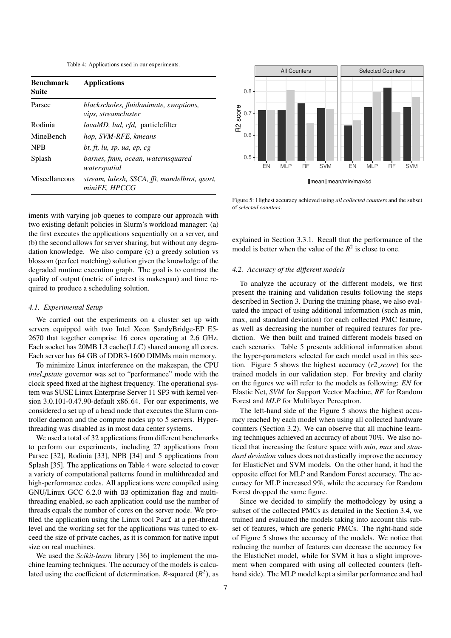Table 4: Applications used in our experiments.

| <b>Benchmark</b><br>Suite | <b>Applications</b>                                                  |  |  |
|---------------------------|----------------------------------------------------------------------|--|--|
| Parsec                    | blackscholes, fluidanimate, swaptions,<br><i>vips, streamcluster</i> |  |  |
| Rodinia                   | <i>lavaMD, lud, cfd, particlefilter</i>                              |  |  |
| MineBench                 | hop, SVM-RFE, kmeans                                                 |  |  |
| <b>NPB</b>                | bt, ft, lu, sp, ua, ep, cg                                           |  |  |
| Splash                    | barnes, fmm, ocean, waternsquared<br>waterspatial                    |  |  |
| Miscellaneous             | stream, lulesh, SSCA, fft, mandelbrot, qsort,<br>miniFE, HPCCG       |  |  |

iments with varying job queues to compare our approach with two existing default policies in Slurm's workload manager: (a) the first executes the applications sequentially on a server, and (b) the second allows for server sharing, but without any degradation knowledge. We also compare (c) a greedy solution vs blossom (perfect matching) solution given the knowledge of the degraded runtime execution graph. The goal is to contrast the quality of output (metric of interest is makespan) and time required to produce a scheduling solution.

## *4.1. Experimental Setup*

We carried out the experiments on a cluster set up with servers equipped with two Intel Xeon SandyBridge-EP E5- 2670 that together comprise 16 cores operating at 2.6 GHz. Each socket has 20MB L3 cache(LLC) shared among all cores. Each server has 64 GB of DDR3-1600 DIMMs main memory.

To minimize Linux interference on the makespan, the CPU *intel pstate* governor was set to "performance" mode with the clock speed fixed at the highest frequency. The operational system was SUSE Linux Enterprise Server 11 SP3 with kernel version 3.0.101-0.47.90-default x86<sub>-64</sub>. For our experiments, we considered a set up of a head node that executes the Slurm controller daemon and the compute nodes up to 5 servers. Hyperthreading was disabled as in most data center systems.

We used a total of 32 applications from different benchmarks to perform our experiments, including 27 applications from Parsec [32], Rodinia [33], NPB [34] and 5 applications from Splash [35]. The applications on Table 4 were selected to cover a variety of computational patterns found in multithreaded and high-performance codes. All applications were compiled using GNU/Linux GCC 6.2.0 with O3 optimization flag and multithreading enabled, so each application could use the number of threads equals the number of cores on the server node. We profiled the application using the Linux tool Perf at a per-thread level and the working set for the applications was tuned to exceed the size of private caches, as it is common for native input size on real machines.

We used the *Scikit-learn* library [36] to implement the machine learning techniques. The accuracy of the models is calculated using the coefficient of determination,  $R$ -squared  $(R^2)$ , as



Figure 5: Highest accuracy achieved using *all collected counters* and the subset of *selected counters*.

explained in Section 3.3.1. Recall that the performance of the model is better when the value of the  $R^2$  is close to one.

## *4.2. Accuracy of the di*ff*erent models*

To analyze the accuracy of the different models, we first present the training and validation results following the steps described in Section 3. During the training phase, we also evaluated the impact of using additional information (such as min, max, and standard deviation) for each collected PMC feature, as well as decreasing the number of required features for prediction. We then built and trained different models based on each scenario. Table 5 presents additional information about the hyper-parameters selected for each model used in this section. Figure 5 shows the highest accuracy (*r2 score*) for the trained models in our validation step. For brevity and clarity on the figures we will refer to the models as following: *EN* for Elastic Net, *SVM* for Support Vector Machine, *RF* for Random Forest and *MLP* for Multilayer Perceptron.

The left-hand side of the Figure 5 shows the highest accuracy reached by each model when using all collected hardware counters (Section 3.2). We can observe that all machine learning techniques achieved an accuracy of about 70%. We also noticed that increasing the feature space with *min*, *max* and *standard deviation* values does not drastically improve the accuracy for ElasticNet and SVM models. On the other hand, it had the opposite effect for MLP and Random Forest accuracy. The accuracy for MLP increased 9%, while the accuracy for Random Forest dropped the same figure.

Since we decided to simplify the methodology by using a subset of the collected PMCs as detailed in the Section 3.4, we trained and evaluated the models taking into account this subset of features, which are generic PMCs. The right-hand side of Figure 5 shows the accuracy of the models. We notice that reducing the number of features can decrease the accuracy for the ElasticNet model, while for SVM it has a slight improvement when compared with using all collected counters (lefthand side). The MLP model kept a similar performance and had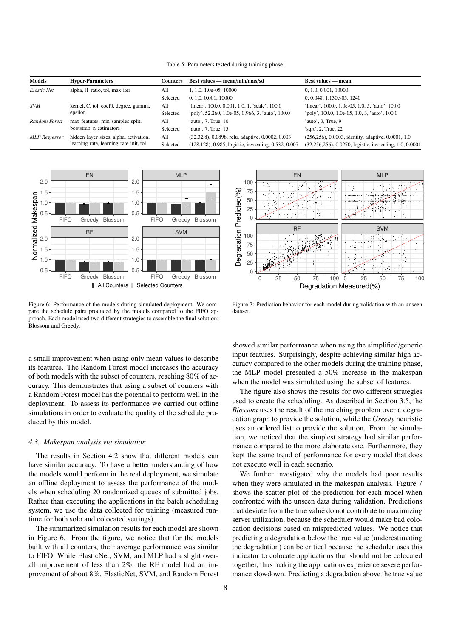Table 5: Parameters tested during training phase.

| <b>Models</b>        | <b>Hyper-Parameters</b>                                                          | <b>Counters</b> | Best values — mean/min/max/sd                        | <b>Best values — mean</b>                               |
|----------------------|----------------------------------------------------------------------------------|-----------------|------------------------------------------------------|---------------------------------------------------------|
| Elastic Net          | alpha, 11 ratio, tol, max iter                                                   | All             | 1, 1.0, 1.0e-05, 10000                               | 0, 1.0, 0.001, 10000                                    |
|                      |                                                                                  | Selected        | 0, 1.0, 0.001, 10000                                 | 0, 0.048, 1.130e-05, 1240                               |
| <b>SVM</b>           | kernel, C, tol, coef0, degree, gamma,<br>epsilon                                 | All             | linear', 100.0, 0.001, 1.0, 1, 'scale', 100.0'       | linear', 100.0, 1.0e-05, 1.0, 5, 'auto', 100.0          |
|                      |                                                                                  | Selected        | 'poly', 52.260, 1.0e-05, 0.966, 3, 'auto', 100.0     | 'poly', 100.0, 1.0e-05, 1.0, 3, 'auto', 100.0           |
| Random Forest        | max_features, min_samples_split,<br>bootstrap, n_estimators                      | All             | 'auto', 7, True, 10                                  | auto', 3, True, 9                                       |
|                      |                                                                                  | Selected        | 'auto', 7, True, 15                                  | 'sqrt', 2, True, 22                                     |
| <b>MLP</b> Regressor | hidden_layer_sizes, alpha, activation,<br>learning_rate, learning_rate_init, tol | All             | (32, 32, 8), 0.0898, relu, adaptive, 0.0002, 0.003   | (256, 256), 0.0003, identity, adaptive, 0.0001, 1.0     |
|                      |                                                                                  | Selected        | (128,128), 0.985, logistic, invscaling, 0.532, 0.007 | (32,256,256), 0.0270, logistic, invscaling, 1.0, 0.0001 |



Figure 6: Performance of the models during simulated deployment. We compare the schedule pairs produced by the models compared to the FIFO approach. Each model used two different strategies to assemble the final solution: Blossom and Greedy.

a small improvement when using only mean values to describe its features. The Random Forest model increases the accuracy of both models with the subset of counters, reaching 80% of accuracy. This demonstrates that using a subset of counters with a Random Forest model has the potential to perform well in the deployment. To assess its performance we carried out offline simulations in order to evaluate the quality of the schedule produced by this model.

#### *4.3. Makespan analysis via simulation*

The results in Section 4.2 show that different models can have similar accuracy. To have a better understanding of how the models would perform in the real deployment, we simulate an offline deployment to assess the performance of the models when scheduling 20 randomized queues of submitted jobs. Rather than executing the applications in the batch scheduling system, we use the data collected for training (measured runtime for both solo and colocated settings).

The summarized simulation results for each model are shown in Figure 6. From the figure, we notice that for the models built with all counters, their average performance was similar to FIFO. While ElasticNet, SVM, and MLP had a slight overall improvement of less than 2%, the RF model had an improvement of about 8%. ElasticNet, SVM, and Random Forest



Figure 7: Prediction behavior for each model during validation with an unseen dataset.

showed similar performance when using the simplified/generic input features. Surprisingly, despite achieving similar high accuracy compared to the other models during the training phase, the MLP model presented a 50% increase in the makespan when the model was simulated using the subset of features.

The figure also shows the results for two different strategies used to create the scheduling. As described in Section 3.5, the *Blossom* uses the result of the matching problem over a degradation graph to provide the solution, while the *Greedy* heuristic uses an ordered list to provide the solution. From the simulation, we noticed that the simplest strategy had similar performance compared to the more elaborate one. Furthermore, they kept the same trend of performance for every model that does not execute well in each scenario.

We further investigated why the models had poor results when they were simulated in the makespan analysis. Figure 7 shows the scatter plot of the prediction for each model when confronted with the unseen data during validation. Predictions that deviate from the true value do not contribute to maximizing server utilization, because the scheduler would make bad colocation decisions based on mispredicted values. We notice that predicting a degradation below the true value (underestimating the degradation) can be critical because the scheduler uses this indicator to colocate applications that should not be colocated together, thus making the applications experience severe performance slowdown. Predicting a degradation above the true value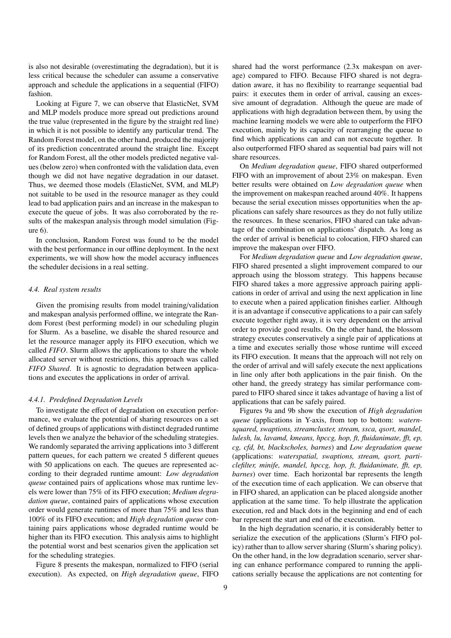is also not desirable (overestimating the degradation), but it is less critical because the scheduler can assume a conservative approach and schedule the applications in a sequential (FIFO) fashion.

Looking at Figure 7, we can observe that ElasticNet, SVM and MLP models produce more spread out predictions around the true value (represented in the figure by the straight red line) in which it is not possible to identify any particular trend. The Random Forest model, on the other hand, produced the majority of its prediction concentrated around the straight line. Except for Random Forest, all the other models predicted negative values (below zero) when confronted with the validation data, even though we did not have negative degradation in our dataset. Thus, we deemed those models (ElasticNet, SVM, and MLP) not suitable to be used in the resource manager as they could lead to bad application pairs and an increase in the makespan to execute the queue of jobs. It was also corroborated by the results of the makespan analysis through model simulation (Figure 6).

In conclusion, Random Forest was found to be the model with the best performance in our offline deployment. In the next experiments, we will show how the model accuracy influences the scheduler decisions in a real setting.

# *4.4. Real system results*

Given the promising results from model training/validation and makespan analysis performed offline, we integrate the Random Forest (best performing model) in our scheduling plugin for Slurm. As a baseline, we disable the shared resource and let the resource manager apply its FIFO execution, which we called *FIFO*. Slurm allows the applications to share the whole allocated server without restrictions, this approach was called *FIFO Shared*. It is agnostic to degradation between applications and executes the applications in order of arrival.

## *4.4.1. Predefined Degradation Levels*

To investigate the effect of degradation on execution performance, we evaluate the potential of sharing resources on a set of defined groups of applications with distinct degraded runtime levels then we analyze the behavior of the scheduling strategies. We randomly separated the arriving applications into 3 different pattern queues, for each pattern we created 5 different queues with 50 applications on each. The queues are represented according to their degraded runtime amount: *Low degradation queue* contained pairs of applications whose max runtime levels were lower than 75% of its FIFO execution; *Medium degradation queue*, contained pairs of applications whose execution order would generate runtimes of more than 75% and less than 100% of its FIFO execution; and *High degradation queue* containing pairs applications whose degraded runtime would be higher than its FIFO execution. This analysis aims to highlight the potential worst and best scenarios given the application set for the scheduling strategies.

Figure 8 presents the makespan, normalized to FIFO (serial execution). As expected, on *High degradation queue*, FIFO

shared had the worst performance (2.3x makespan on average) compared to FIFO. Because FIFO shared is not degradation aware, it has no flexibility to rearrange sequential bad pairs: it executes them in order of arrival, causing an excessive amount of degradation. Although the queue are made of applications with high degradation between them, by using the machine learning models we were able to outperform the FIFO execution, mainly by its capacity of rearranging the queue to find which applications can and can not execute together. It also outperformed FIFO shared as sequential bad pairs will not share resources.

On *Medium degradation queue*, FIFO shared outperformed FIFO with an improvement of about 23% on makespan. Even better results were obtained on *Low degradation queue* when the improvement on makespan reached around 40%. It happens because the serial execution misses opportunities when the applications can safely share resources as they do not fully utilize the resources. In these scenarios, FIFO shared can take advantage of the combination on applications' dispatch. As long as the order of arrival is beneficial to colocation, FIFO shared can improve the makespan over FIFO.

For *Medium degradation queue* and *Low degradation queue*, FIFO shared presented a slight improvement compared to our approach using the blossom strategy. This happens because FIFO shared takes a more aggressive approach pairing applications in order of arrival and using the next application in line to execute when a paired application finishes earlier. Although it is an advantage if consecutive applications to a pair can safely execute together right away, it is very dependent on the arrival order to provide good results. On the other hand, the blossom strategy executes conservatively a single pair of applications at a time and executes serially those whose runtime will exceed its FIFO execution. It means that the approach will not rely on the order of arrival and will safely execute the next applications in line only after both applications in the pair finish. On the other hand, the greedy strategy has similar performance compared to FIFO shared since it takes advantage of having a list of applications that can be safely paired.

Figures 9a and 9b show the execution of *High degradation queue* (applications in Y-axis, from top to bottom: *waternsquared, swaptions, streamcluster, stream, ssca, qsort, mandel, lulesh, lu, lavamd, kmeans, hpccg, hop, ft, fluidanimate,* ff*t, ep, cg, cfd, bt, blackscholes, barnes*) and *Low degradation queue* (applications: *waterspatial, swaptions, stream, qsort, particlefilter, minife, mandel, hpccg, hop, ft, fluidanimate,* ff*t, ep, barnes*) over time. Each horizontal bar represents the length of the execution time of each application. We can observe that in FIFO shared, an application can be placed alongside another application at the same time. To help illustrate the application execution, red and black dots in the beginning and end of each bar represent the start and end of the execution.

In the high degradation scenario, it is considerably better to serialize the execution of the applications (Slurm's FIFO policy) rather than to allow server sharing (Slurm's sharing policy). On the other hand, in the low degradation scenario, server sharing can enhance performance compared to running the applications serially because the applications are not contenting for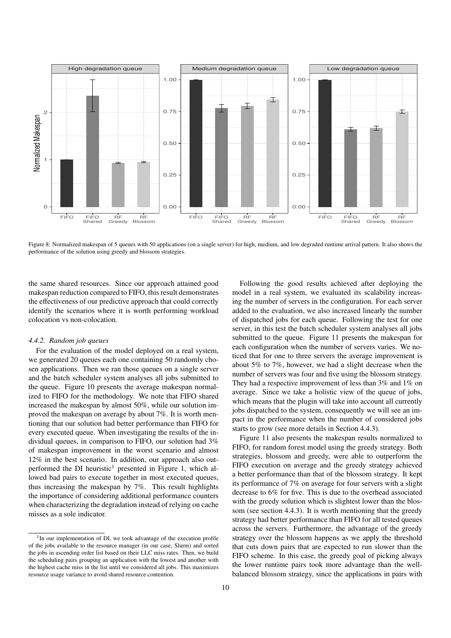

Figure 8: Normalized makespan of 5 queues with 50 applications (on a single server) for high, medium, and low degraded runtime arrival pattern. It also shows the performance of the solution using greedy and blossom strategies.

the same shared resources. Since our approach attained good makespan reduction compared to FIFO, this result demonstrates the effectiveness of our predictive approach that could correctly identify the scenarios where it is worth performing workload colocation vs non-colocation.

## *4.4.2. Random job queues*

For the evaluation of the model deployed on a real system, we generated 20 queues each one containing 50 randomly chosen applications. Then we ran those queues on a single server and the batch scheduler system analyses all jobs submitted to the queue. Figure 10 presents the average makespan normalized to FIFO for the methodology. We note that FIFO shared increased the makespan by almost 50%, while our solution improved the makespan on average by about 7%. It is worth mentioning that our solution had better performance than FIFO for every executed queue. When investigating the results of the individual queues, in comparison to FIFO, our solution had 3% of makespan improvement in the worst scenario and almost 12% in the best scenario. In addition, our approach also outperformed the DI heuristic<sup>1</sup> presented in Figure 1, which allowed bad pairs to execute together in most executed queues, thus increasing the makespan by 7%. This result highlights the importance of considering additional performance counters when characterizing the degradation instead of relying on cache misses as a sole indicator.

Following the good results achieved after deploying the model in a real system, we evaluated its scalability increasing the number of servers in the configuration. For each server added to the evaluation, we also increased linearly the number of dispatched jobs for each queue. Following the test for one server, in this test the batch scheduler system analyses all jobs submitted to the queue. Figure 11 presents the makespan for each configuration when the number of servers varies. We noticed that for one to three servers the average improvement is about 5% to 7%, however, we had a slight decrease when the number of servers was four and five using the blossom strategy. They had a respective improvement of less than 3% and 1% on average. Since we take a holistic view of the queue of jobs, which means that the plugin will take into account all currently jobs dispatched to the system, consequently we will see an impact in the performance when the number of considered jobs starts to grow (see more details in Section 4.4.3).

Figure 11 also presents the makespan results normalized to FIFO, for random forest model using the greedy strategy. Both strategies, blossom and greedy, were able to outperform the FIFO execution on average and the greedy strategy achieved a better performance than that of the blossom strategy. It kept its performance of 7% on average for four servers with a slight decrease to 6% for five. This is due to the overhead associated with the greedy solution which is slightest lower than the blossom (see section 4.4.3). It is worth mentioning that the greedy strategy had better performance than FIFO for all tested queues across the servers. Furthermore, the advantage of the greedy strategy over the blossom happens as we apply the threshold that cuts down pairs that are expected to run slower than the FIFO scheme. In this case, the greedy goal of picking always the lower runtime pairs took more advantage than the wellbalanced blossom strategy, since the applications in pairs with

<sup>&</sup>lt;sup>1</sup>In our implementation of DI, we took advantage of the execution profile of the jobs available to the resource manager (in our case, Slurm) and sorted the jobs in ascending order list based on their LLC miss rates. Then, we build the scheduling pairs grouping an application with the lowest and another with the highest cache miss in the list until we considered all jobs. This maximizes resource usage variance to avoid shared resource contention.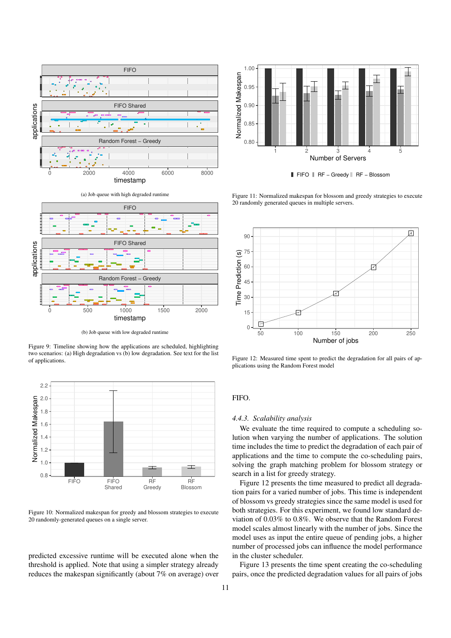

(a) Job queue with high degraded runtime



(b) Job queue with low degraded runtime

Figure 9: Timeline showing how the applications are scheduled, highlighting two scenarios: (a) High degradation vs (b) low degradation. See text for the list of applications.



Figure 10: Normalized makespan for greedy and blossom strategies to execute 20 randomly-generated queues on a single server.

predicted excessive runtime will be executed alone when the threshold is applied. Note that using a simpler strategy already reduces the makespan significantly (about 7% on average) over



FIFO RF – Greedy RF – Blossom

Figure 11: Normalized makespan for blossom and greedy strategies to execute 20 randomly generated queues in multiple servers.



Figure 12: Measured time spent to predict the degradation for all pairs of applications using the Random Forest model

# FIFO.

# *4.4.3. Scalability analysis*

We evaluate the time required to compute a scheduling solution when varying the number of applications. The solution time includes the time to predict the degradation of each pair of applications and the time to compute the co-scheduling pairs, solving the graph matching problem for blossom strategy or search in a list for greedy strategy.

Figure 12 presents the time measured to predict all degradation pairs for a varied number of jobs. This time is independent of blossom vs greedy strategies since the same model is used for both strategies. For this experiment, we found low standard deviation of 0.03% to 0.8%. We observe that the Random Forest model scales almost linearly with the number of jobs. Since the model uses as input the entire queue of pending jobs, a higher number of processed jobs can influence the model performance in the cluster scheduler.

Figure 13 presents the time spent creating the co-scheduling pairs, once the predicted degradation values for all pairs of jobs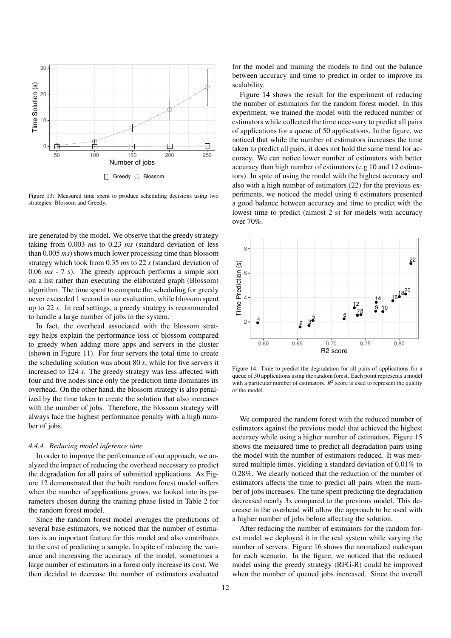

Figure 13: Measured time spent to produce scheduling decisions using two strategies: Blossom and Greedy.

are generated by the model. We observe that the greedy strategy taking from 0.003 *ms* to 0.23 *ms* (standard deviation of less than 0.005 *ms*) shows much lower processing time than blossom strategy which took from 0.35 *ms* to 22 *s* (standard deviation of 0.06 *ms* - 7 *s*). The greedy approach performs a simple sort on a list rather than executing the elaborated graph (Blossom) algorithm. The time spent to compute the scheduling for greedy never exceeded 1 second in our evaluation, while blossom spent up to 22 *s*. In real settings, a greedy strategy is recommended to handle a large number of jobs in the system.

In fact, the overhead associated with the blossom strategy helps explain the performance loss of blossom compared to greedy when adding more apps and servers in the cluster (shown in Figure 11). For four servers the total time to create the scheduling solution was about 80 *s*, while for five servers it increased to 124 *s*. The greedy strategy was less affected with four and five nodes since only the prediction time dominates its overhead. On the other hand, the blossom strategy is also penalized by the time taken to create the solution that also increases with the number of jobs. Therefore, the blossom strategy will always face the highest performance penalty with a high number of jobs.

#### *4.4.4. Reducing model inference time*

In order to improve the performance of our approach, we analyzed the impact of reducing the overhead necessary to predict the degradation for all pairs of submitted applications. As Figure 12 demonstrated that the built random forest model suffers when the number of applications grows, we looked into its parameters chosen during the training phase listed in Table 2 for the random forest model.

Since the random forest model averages the predictions of several base estimators, we noticed that the number of estimators is an important feature for this model and also contributes to the cost of predicting a sample. In spite of reducing the variance and increasing the accuracy of the model, sometimes a large number of estimators in a forest only increase its cost. We then decided to decrease the number of estimators evaluated

for the model and training the models to find out the balance between accuracy and time to predict in order to improve its scalability.

Figure 14 shows the result for the experiment of reducing the number of estimators for the random forest model. In this experiment, we trained the model with the reduced number of estimators while collected the time necessary to predict all pairs of applications for a queue of 50 applications. In the figure, we noticed that while the number of estimators increases the time taken to predict all pairs, it does not hold the same trend for accuracy. We can notice lower number of estimators with better accuracy than high number of estimators (e.g 10 and 12 estimators). In spite of using the model with the highest accuracy and also with a high number of estimators (22) for the previous experiments, we noticed the model using 6 estimators presented a good balance between accuracy and time to predict with the lowest time to predict (almost 2 s) for models with accuracy over 70%.



Figure 14: Time to predict the degradation for all pairs of applications for a queue of 50 applications using the random forest. Each point represents a model with a particular number of estimators.  $R^2$  score is used to represent the quality of the model.

We compared the random forest with the reduced number of estimators against the previous model that achieved the highest accuracy while using a higher number of estimators. Figure 15 shows the measured time to predict all degradation pairs using the model with the number of estimators reduced. It was measured multiple times, yielding a standard deviation of 0.01% to 0.28%. We clearly noticed that the reduction of the number of estimators affects the time to predict all pairs when the number of jobs increases. The time spent predicting the degradation decreased nearly 3x compared to the previous model. This decrease in the overhead will allow the approach to be used with a higher number of jobs before affecting the solution.

After reducing the number of estimators for the random forest model we deployed it in the real system while varying the number of servers. Figure 16 shows the normalized makespan for each scenario. In the figure, we noticed that the reduced model using the greedy strategy (RFG-R) could be improved when the number of queued jobs increased. Since the overall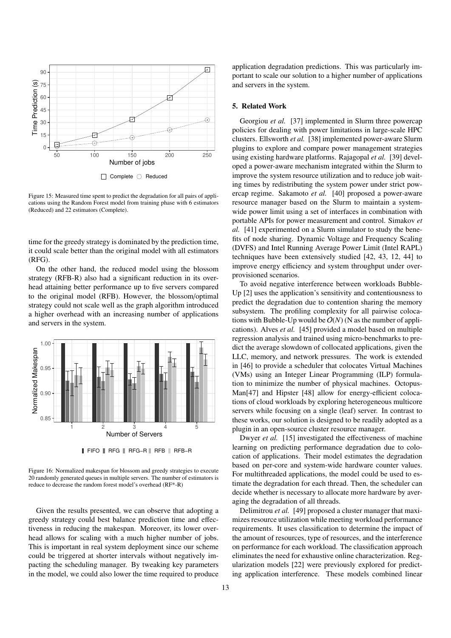

 $\Box$  Complete  $\bigcirc$  Reduced

Figure 15: Measured time spent to predict the degradation for all pairs of applications using the Random Forest model from training phase with 6 estimators (Reduced) and 22 estimators (Complete).

time for the greedy strategy is dominated by the prediction time, it could scale better than the original model with all estimators (RFG).

On the other hand, the reduced model using the blossom strategy (RFB-R) also had a significant reduction in its overhead attaining better performance up to five servers compared to the original model (RFB). However, the blossom/optimal strategy could not scale well as the graph algorithm introduced a higher overhead with an increasing number of applications and servers in the system.



**FIFO RFG** RFG−R RFB RFB−R

Figure 16: Normalized makespan for blossom and greedy strategies to execute 20 randomly generated queues in multiple servers. The number of estimators is reduce to decrease the random forest model's overhead (RF\*-R)

Given the results presented, we can observe that adopting a greedy strategy could best balance prediction time and effectiveness in reducing the makespan. Moreover, its lower overhead allows for scaling with a much higher number of jobs. This is important in real system deployment since our scheme could be triggered at shorter intervals without negatively impacting the scheduling manager. By tweaking key parameters in the model, we could also lower the time required to produce

application degradation predictions. This was particularly important to scale our solution to a higher number of applications and servers in the system.

## 5. Related Work

Georgiou *et al.* [37] implemented in Slurm three powercap policies for dealing with power limitations in large-scale HPC clusters. Ellsworth *et al.* [38] implemented power-aware Slurm plugins to explore and compare power management strategies using existing hardware platforms. Rajagopal *et al.* [39] developed a power-aware mechanism integrated within the Slurm to improve the system resource utilization and to reduce job waiting times by redistributing the system power under strict powercap regime. Sakamoto *et al.* [40] proposed a power-aware resource manager based on the Slurm to maintain a systemwide power limit using a set of interfaces in combination with portable APIs for power measurement and control. Simakov *et al.* [41] experimented on a Slurm simulator to study the benefits of node sharing. Dynamic Voltage and Frequency Scaling (DVFS) and Intel Running Average Power Limit (Intel RAPL) techniques have been extensively studied [42, 43, 12, 44] to improve energy efficiency and system throughput under overprovisioned scenarios.

To avoid negative interference between workloads Bubble-Up [2] uses the application's sensitivity and contentiousness to predict the degradation due to contention sharing the memory subsystem. The profiling complexity for all pairwise colocations with Bubble-Up would be  $O(N)$  (N as the number of applications). Alves *et al.* [45] provided a model based on multiple regression analysis and trained using micro-benchmarks to predict the average slowdown of collocated applications, given the LLC, memory, and network pressures. The work is extended in [46] to provide a scheduler that colocates Virtual Machines (VMs) using an Integer Linear Programming (ILP) formulation to minimize the number of physical machines. Octopus-Man[47] and Hipster [48] allow for energy-efficient colocations of cloud workloads by exploring heterogeneous multicore servers while focusing on a single (leaf) server. In contrast to these works, our solution is designed to be readily adopted as a plugin in an open-source cluster resource manager.

Dwyer *et al.* [15] investigated the effectiveness of machine learning on predicting performance degradation due to colocation of applications. Their model estimates the degradation based on per-core and system-wide hardware counter values. For multithreaded applications, the model could be used to estimate the degradation for each thread. Then, the scheduler can decide whether is necessary to allocate more hardware by averaging the degradation of all threads.

Delimitrou *et al.* [49] proposed a cluster manager that maximizes resource utilization while meeting workload performance requirements. It uses classification to determine the impact of the amount of resources, type of resources, and the interference on performance for each workload. The classification approach eliminates the need for exhaustive online characterization. Regularization models [22] were previously explored for predicting application interference. These models combined linear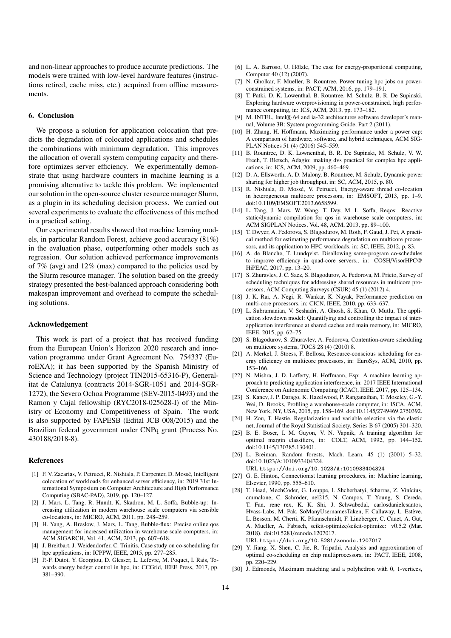and non-linear approaches to produce accurate predictions. The models were trained with low-level hardware features (instructions retired, cache miss, etc.) acquired from offline measurements.

#### 6. Conclusion

We propose a solution for application colocation that predicts the degradation of colocated applications and schedules the combinations with minimum degradation. This improves the allocation of overall system computing capacity and therefore optimizes server efficiency. We experimentally demonstrate that using hardware counters in machine learning is a promising alternative to tackle this problem. We implemented our solution in the open-source cluster resource manager Slurm, as a plugin in its scheduling decision process. We carried out several experiments to evaluate the effectiveness of this method in a practical setting.

Our experimental results showed that machine learning models, in particular Random Forest, achieve good accuracy (81%) in the evaluation phase, outperforming other models such as regression. Our solution achieved performance improvements of 7% (avg) and 12% (max) compared to the policies used by the Slurm resource manager. The solution based on the greedy strategy presented the best-balanced approach considering both makespan improvement and overhead to compute the scheduling solutions.

#### Acknowledgement

This work is part of a project that has received funding from the European Union's Horizon 2020 research and innovation programme under Grant Agreement No. 754337 (EuroEXA); it has been supported by the Spanish Ministry of Science and Technology (project TIN2015-65316-P), Generalitat de Catalunya (contracts 2014-SGR-1051 and 2014-SGR-1272), the Severo Ochoa Programme (SEV-2015-0493) and the Ramon y Cajal fellowship (RYC2018-025628-I) of the Ministry of Economy and Competitiveness of Spain. The work is also supported by FAPESB (Edital JCB 008/2015) and the Brazilian federal government under CNPq grant (Process No. 430188/2018-8).

#### References

- [1] F. V. Zacarias, V. Petrucci, R. Nishtala, P. Carpenter, D. Mosse, Intelligent ´ colocation of workloads for enhanced server efficiency, in: 2019 31st International Symposium on Computer Architecture and High Performance Computing (SBAC-PAD), 2019, pp. 120–127.
- [2] J. Mars, L. Tang, R. Hundt, K. Skadron, M. L. Soffa, Bubble-up: Increasing utilization in modern warehouse scale computers via sensible co-locations, in: MICRO, ACM, 2011, pp. 248–259.
- [3] H. Yang, A. Breslow, J. Mars, L. Tang, Bubble-flux: Precise online qos management for increased utilization in warehouse scale computers, in: ACM SIGARCH, Vol. 41, ACM, 2013, pp. 607–618.
- [4] J. Breitbart, J. Weidendorfer, C. Trinitis, Case study on co-scheduling for hpc applications, in: ICPPW, IEEE, 2015, pp. 277–285.
- [5] P.-F. Dutot, Y. Georgiou, D. Glesser, L. Lefevre, M. Poquet, I. Rais, Towards energy budget control in hpc, in: CCGrid, IEEE Press, 2017, pp. 381–390.
- [6] L. A. Barroso, U. Hölzle, The case for energy-proportional computing, Computer 40 (12) (2007).
- [7] N. Gholkar, F. Mueller, B. Rountree, Power tuning hpc jobs on powerconstrained systems, in: PACT, ACM, 2016, pp. 179–191.
- [8] T. Patki, D. K. Lowenthal, B. Rountree, M. Schulz, B. R. De Supinski, Exploring hardware overprovisioning in power-constrained, high performance computing, in: ICS, ACM, 2013, pp. 173–182.
- [9] M. INTEL, Intel® 64 and ia-32 architectures software developer's manual, Volume 3B: System programming Guide, Part 2 (2011).
- [10] H. Zhang, H. Hoffmann, Maximizing performance under a power cap: A comparison of hardware, software, and hybrid techniques, ACM SIG-PLAN Notices 51 (4) (2016) 545–559.
- [11] B. Rountree, D. K. Lownenthal, B. R. De Supinski, M. Schulz, V. W. Freeh, T. Bletsch, Adagio: making dvs practical for complex hpc applications, in: ICS, ACM, 2009, pp. 460–469.
- [12] D. A. Ellsworth, A. D. Malony, B. Rountree, M. Schulz, Dynamic power sharing for higher job throughput, in: SC, ACM, 2015, p. 80.
- [13] R. Nishtala, D. Mossé, V. Petrucci, Energy-aware thread co-location in heterogeneous multicore processors, in: EMSOFT, 2013, pp. 1–9. doi:10.1109/EMSOFT.2013.6658599.
- [14] L. Tang, J. Mars, W. Wang, T. Dey, M. L. Soffa, Reqos: Reactive static/dynamic compilation for qos in warehouse scale computers, in: ACM SIGPLAN Notices, Vol. 48, ACM, 2013, pp. 89–100.
- [15] T. Dwyer, A. Fedorova, S. Blagodurov, M. Roth, F. Gaud, J. Pei, A practical method for estimating performance degradation on multicore processors, and its application to HPC workloads, in: SC, IEEE, 2012, p. 83.
- [16] A. de Blanche, T. Lundqvist, Disallowing same-program co-schedules to improve efficiency in quad-core servers., in: COSH/VisorHPC@ HiPEAC, 2017, pp. 13–20.
- [17] S. Zhuravlev, J. C. Saez, S. Blagodurov, A. Fedorova, M. Prieto, Survey of scheduling techniques for addressing shared resources in multicore processors, ACM Computing Surveys (CSUR) 45 (1) (2012) 4.
- [18] J. K. Rai, A. Negi, R. Wankar, K. Nayak, Performance prediction on multi-core processors, in: CICN, IEEE, 2010, pp. 633–637.
- [19] L. Subramanian, V. Seshadri, A. Ghosh, S. Khan, O. Mutlu, The application slowdown model: Quantifying and controlling the impact of interapplication interference at shared caches and main memory, in: MICRO, IEEE, 2015, pp. 62–75.
- [20] S. Blagodurov, S. Zhuravlev, A. Fedorova, Contention-aware scheduling on multicore systems, TOCS 28 (4) (2010) 8.
- [21] A. Merkel, J. Stoess, F. Bellosa, Resource-conscious scheduling for energy efficiency on multicore processors, in: EuroSys, ACM, 2010, pp. 153–166.
- [22] N. Mishra, J. D. Lafferty, H. Hoffmann, Esp: A machine learning approach to predicting application interference, in: 2017 IEEE International Conference on Autonomic Computing (ICAC), IEEE, 2017, pp. 125–134.
- [23] S. Kanev, J. P. Darago, K. Hazelwood, P. Ranganathan, T. Moseley, G.-Y. Wei, D. Brooks, Profiling a warehouse-scale computer, in: ISCA, ACM, New York, NY, USA, 2015, pp. 158–169. doi:10.1145/2749469.2750392.
- [24] H. Zou, T. Hastie, Regularization and variable selection via the elastic net, Journal of the Royal Statistical Society, Series B 67 (2005) 301–320.
- [25] B. E. Boser, I. M. Guyon, V. N. Vapnik, A training algorithm for optimal margin classifiers, in: COLT, ACM, 1992, pp. 144–152. doi:10.1145/130385.130401.
- [26] L. Breiman, Random forests, Mach. Learn. 45 (1) (2001) 5-32. doi:10.1023/A:1010933404324.
- URL https://doi.org/10.1023/A:1010933404324
- [27] G. E. Hinton, Connectionist learning procedures, in: Machine learning, Elsevier, 1990, pp. 555–610.
- [28] T. Head, MechCoder, G. Louppe, I. Shcherbatyi, fcharras, Z. Vinícius, cmmalone, C. Schröder, nel215, N. Campos, T. Young, S. Cereda, T. Fan, rene rex, K. K. Shi, J. Schwabedal, carlosdanielcsantos, Hvass-Labs, M. Pak, SoManyUsernamesTaken, F. Callaway, L. Estève, L. Besson, M. Cherti, K. Pfannschmidt, F. Linzberger, C. Cauet, A. Gut, A. Mueller, A. Fabisch, scikit-optimize/scikit-optimize: v0.5.2 (Mar. 2018). doi:10.5281/zenodo.1207017.

URL https://doi.org/10.5281/zenodo.1207017

- [29] Y. Jiang, X. Shen, C. Jie, R. Tripathi, Analysis and approximation of optimal co-scheduling on chip multiprocessors, in: PACT, IEEE, 2008, pp. 220–229.
- [30] J. Edmonds, Maximum matching and a polyhedron with 0, 1-vertices,